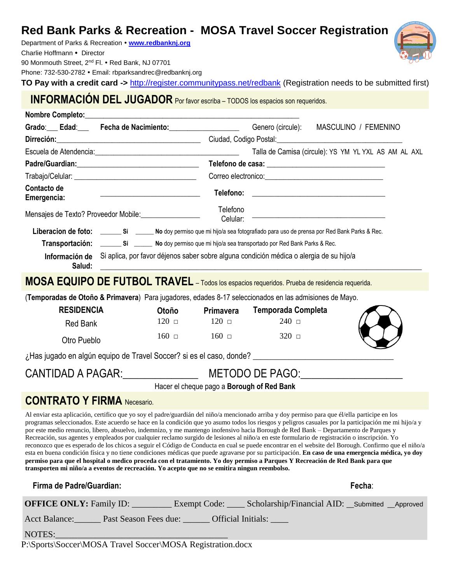# **Red Bank Parks & Recreation - MOSA Travel Soccer Registration**

Department of Parks & Recreation **[www.redbanknj.org](http://www.redbanknj.org/)** Charlie Hoffmann · Director 90 Monmouth Street, 2<sup>nd</sup> Fl. • Red Bank, NJ 07701

Phone: 732-530-2782 · Email: rbparksandrec@redbanknj.org

**TO Pay with a credit card ->** <http://register.communitypass.net/redbank> (Registration needs to be submitted first)

**INFORMACIÓN DEL JUGADOR** Por favor escriba – TODOS los espacios son requeridos.

| Grado: Edad: Fecha de Nacimiento: Genero (circule): MASCULINO / FEMENINO                                                                                                                                                                                                                                                                                                                                                                                                                                                                                                                                                                                                                                                                                                                                                                                                                                                                                                                                                                                                                                                                  |                                                                                                        |                      |              |                                                                                                                                                                                                                                      |        |  |
|-------------------------------------------------------------------------------------------------------------------------------------------------------------------------------------------------------------------------------------------------------------------------------------------------------------------------------------------------------------------------------------------------------------------------------------------------------------------------------------------------------------------------------------------------------------------------------------------------------------------------------------------------------------------------------------------------------------------------------------------------------------------------------------------------------------------------------------------------------------------------------------------------------------------------------------------------------------------------------------------------------------------------------------------------------------------------------------------------------------------------------------------|--------------------------------------------------------------------------------------------------------|----------------------|--------------|--------------------------------------------------------------------------------------------------------------------------------------------------------------------------------------------------------------------------------------|--------|--|
| Dirreción: 2000 - Ciudad, Codigo Postal: 2000 - 2000 - 2010 - 2010 - 2010 - 2010 - 2010 - 2010 - 2010 - 2010 -                                                                                                                                                                                                                                                                                                                                                                                                                                                                                                                                                                                                                                                                                                                                                                                                                                                                                                                                                                                                                            |                                                                                                        |                      |              |                                                                                                                                                                                                                                      |        |  |
|                                                                                                                                                                                                                                                                                                                                                                                                                                                                                                                                                                                                                                                                                                                                                                                                                                                                                                                                                                                                                                                                                                                                           |                                                                                                        |                      |              | Talla de Camisa (circule): YS YM YL YXL AS AM AL AXL                                                                                                                                                                                 |        |  |
|                                                                                                                                                                                                                                                                                                                                                                                                                                                                                                                                                                                                                                                                                                                                                                                                                                                                                                                                                                                                                                                                                                                                           |                                                                                                        |                      |              |                                                                                                                                                                                                                                      |        |  |
|                                                                                                                                                                                                                                                                                                                                                                                                                                                                                                                                                                                                                                                                                                                                                                                                                                                                                                                                                                                                                                                                                                                                           |                                                                                                        |                      |              | Correo electronico: <u>compare allegar and contract and contract and contract and contract and contract and contract and contract and contract and contract and contract and contract and contract and contract and contract and</u> |        |  |
| Contacto de<br>Emergencia:                                                                                                                                                                                                                                                                                                                                                                                                                                                                                                                                                                                                                                                                                                                                                                                                                                                                                                                                                                                                                                                                                                                | <u> Alexandria (m. 1888)</u>                                                                           |                      |              |                                                                                                                                                                                                                                      |        |  |
| Mensajes de Texto? Proveedor Mobile: __________________                                                                                                                                                                                                                                                                                                                                                                                                                                                                                                                                                                                                                                                                                                                                                                                                                                                                                                                                                                                                                                                                                   |                                                                                                        | Telefono<br>Celular: |              |                                                                                                                                                                                                                                      |        |  |
|                                                                                                                                                                                                                                                                                                                                                                                                                                                                                                                                                                                                                                                                                                                                                                                                                                                                                                                                                                                                                                                                                                                                           |                                                                                                        |                      |              |                                                                                                                                                                                                                                      |        |  |
|                                                                                                                                                                                                                                                                                                                                                                                                                                                                                                                                                                                                                                                                                                                                                                                                                                                                                                                                                                                                                                                                                                                                           |                                                                                                        |                      |              |                                                                                                                                                                                                                                      |        |  |
| Salud:                                                                                                                                                                                                                                                                                                                                                                                                                                                                                                                                                                                                                                                                                                                                                                                                                                                                                                                                                                                                                                                                                                                                    | Información de Si aplica, por favor déjenos saber sobre alguna condición médica o alergia de su hijo/a |                      |              |                                                                                                                                                                                                                                      |        |  |
| MOSA EQUIPO DE FUTBOL TRAVEL - Todos los espacios requeridos. Prueba de residencia requerida.                                                                                                                                                                                                                                                                                                                                                                                                                                                                                                                                                                                                                                                                                                                                                                                                                                                                                                                                                                                                                                             |                                                                                                        |                      |              |                                                                                                                                                                                                                                      |        |  |
| (Temporadas de Otoño & Primavera) Para jugadores, edades 8-17 seleccionados en las admisiones de Mayo.                                                                                                                                                                                                                                                                                                                                                                                                                                                                                                                                                                                                                                                                                                                                                                                                                                                                                                                                                                                                                                    |                                                                                                        |                      |              |                                                                                                                                                                                                                                      |        |  |
| <b>RESIDENCIA</b>                                                                                                                                                                                                                                                                                                                                                                                                                                                                                                                                                                                                                                                                                                                                                                                                                                                                                                                                                                                                                                                                                                                         |                                                                                                        | Otoño                | Primavera    | Temporada Completa                                                                                                                                                                                                                   |        |  |
| <b>Red Bank</b>                                                                                                                                                                                                                                                                                                                                                                                                                                                                                                                                                                                                                                                                                                                                                                                                                                                                                                                                                                                                                                                                                                                           |                                                                                                        | $120$ $\Box$         | $120$ $\Box$ | $240$ $\Box$                                                                                                                                                                                                                         |        |  |
| Otro Pueblo                                                                                                                                                                                                                                                                                                                                                                                                                                                                                                                                                                                                                                                                                                                                                                                                                                                                                                                                                                                                                                                                                                                               |                                                                                                        | $160$ $\Box$         | $160$ $\Box$ | $320$ $\Box$                                                                                                                                                                                                                         |        |  |
|                                                                                                                                                                                                                                                                                                                                                                                                                                                                                                                                                                                                                                                                                                                                                                                                                                                                                                                                                                                                                                                                                                                                           |                                                                                                        |                      |              |                                                                                                                                                                                                                                      |        |  |
| CANTIDAD A PAGAR: METODO DE PAGO: METODO DE PAGO: METODO DE PAGO: METODO DE PAGO: METODO DE PAGO: METODO DE PAGO                                                                                                                                                                                                                                                                                                                                                                                                                                                                                                                                                                                                                                                                                                                                                                                                                                                                                                                                                                                                                          |                                                                                                        |                      |              |                                                                                                                                                                                                                                      |        |  |
| Hacer el cheque pago a Borough of Red Bank                                                                                                                                                                                                                                                                                                                                                                                                                                                                                                                                                                                                                                                                                                                                                                                                                                                                                                                                                                                                                                                                                                |                                                                                                        |                      |              |                                                                                                                                                                                                                                      |        |  |
| <b>CONTRATO Y FIRMA</b> Necesario.                                                                                                                                                                                                                                                                                                                                                                                                                                                                                                                                                                                                                                                                                                                                                                                                                                                                                                                                                                                                                                                                                                        |                                                                                                        |                      |              |                                                                                                                                                                                                                                      |        |  |
| Al enviar esta aplicación, certifico que yo soy el padre/guardián del niño/a mencionado arriba y doy permiso para que él/ella participe en los<br>programas seleccionados. Este acuerdo se hace en la condición que yo asumo todos los riesgos y peligros casuales por la participación me mi hijo/a y<br>por este medio renuncio, libero, absuelvo, indemnizo, y me mantengo inofensivo hacia Borough de Red Bank - Departamento de Parques y<br>Recreación, sus agentes y empleados por cualquier reclamo surgido de lesiones al niño/a en este formulario de registración o inscripción. Yo<br>reconozco que es esperado de los chicos a seguir el Código de Conducta en cual se puede encontrar en el website del Borough. Confirmo que el niño/a<br>esta en buena condición física y no tiene condiciones médicas que puede agravarse por su participación. En caso de una emergencia médica, yo doy<br>permiso para que el hospital o medico proceda con el tratamiento. Yo doy permiso a Parques Y Recreación de Red Bank para que<br>transporten mi niño/a a eventos de recreación. Yo acepto que no se emitira ningun reembolso. |                                                                                                        |                      |              |                                                                                                                                                                                                                                      |        |  |
| Firma de Padre/Guardian:                                                                                                                                                                                                                                                                                                                                                                                                                                                                                                                                                                                                                                                                                                                                                                                                                                                                                                                                                                                                                                                                                                                  |                                                                                                        |                      |              |                                                                                                                                                                                                                                      | Fecha: |  |
| OFFICE ONLY: Family ID: _________ Exempt Code: ____ Scholarship/Financial AID: __ Submitted __ Approved                                                                                                                                                                                                                                                                                                                                                                                                                                                                                                                                                                                                                                                                                                                                                                                                                                                                                                                                                                                                                                   |                                                                                                        |                      |              |                                                                                                                                                                                                                                      |        |  |
| Acct Balance: Past Season Fees due: ______ Official Initials: ____                                                                                                                                                                                                                                                                                                                                                                                                                                                                                                                                                                                                                                                                                                                                                                                                                                                                                                                                                                                                                                                                        |                                                                                                        |                      |              |                                                                                                                                                                                                                                      |        |  |
| NOTES:                                                                                                                                                                                                                                                                                                                                                                                                                                                                                                                                                                                                                                                                                                                                                                                                                                                                                                                                                                                                                                                                                                                                    | <u> 1989 - Jan James Barn, mars eta idazlear</u>                                                       |                      |              |                                                                                                                                                                                                                                      |        |  |

P:\Sports\Soccer\MOSA Travel Soccer\MOSA Registration.docx